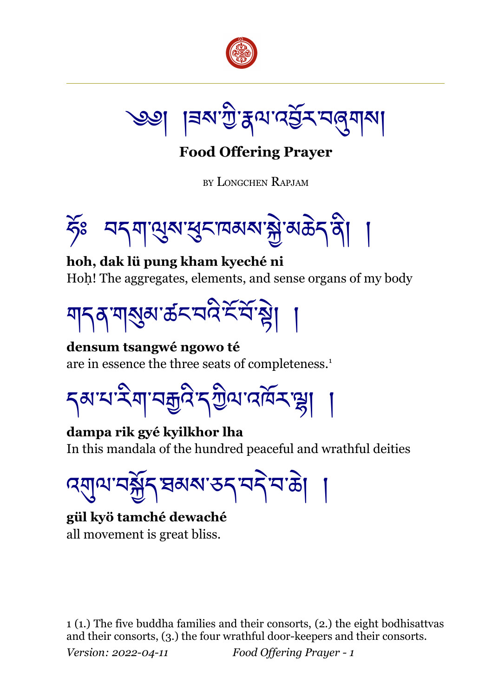



**Food Offering Prayer**

BY LONGCHEN RAPJAM



**hoh, dak lü pung kham kyeché ni** Hoh! The aggregates, elements, and sense organs of my body



**densum tsangwé ngowo té** are in essence the three seats of completeness.[1](#page-0-0)

<u> </u>বৰামাইনা বহীত্ত্ব একাৰ্য প্ৰা

**dampa rik gyé kyilkhor lha** In this mandala of the hundred peaceful and wrathful deities

ব্য্য্মামন্ক্রীন ষম্মান্তন বনীমক্টা

**gül kyö tamché dewaché** all movement is great bliss.

<span id="page-0-0"></span>1 (1.) The five buddha families and their consorts, (2.) the eight bodhisattvas and their consorts, (3.) the four wrathful door-keepers and their consorts. *Version: 2022-04-11 Food Offering Prayer - 1*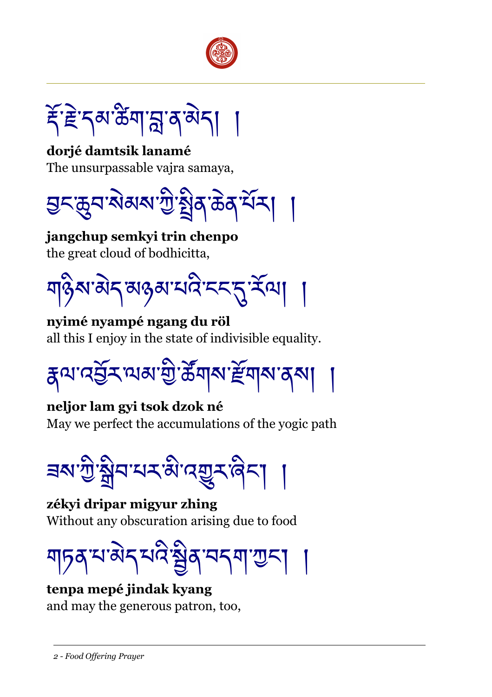

*ड़ऀॱ*ॾॆॱॸॺॱऀॺॕॺॱॸॣॖॱॺॱऄॸऻ

dorjé damtsik lanamé The unsurpassable vaira samaya,



jangchup semkyi trin chenpo the great cloud of bodhicitta.

য়ঢ়৾য়৽য়ৼ৸ড়৸ৼঢ়ৼ৻ৼ৻

nyimé nyampé ngang du röl all this I enjoy in the state of indivisible equality.



neljor lam gyi tsok dzok né May we perfect the accumulations of the yogic path

<u> </u>য়ৼঢ়ঢ়য়৸ৼৼ৻ৼ৸ৼঀৼ৻ড়৸ৼ

zékyi dripar migyur zhing Without any obscuration arising due to food



## tenpa mepé jindak kyang

and may the generous patron, too,